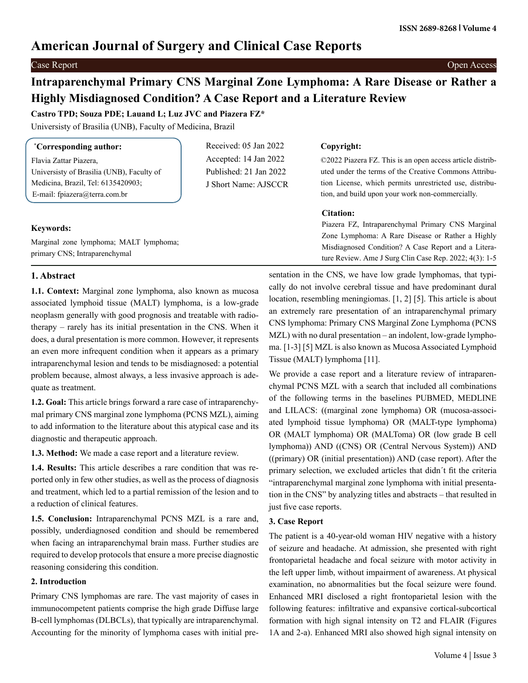# **American Journal of Surgery and Clinical Case Reports**

# **Intraparenchymal Primary CNS Marginal Zone Lymphoma: A Rare Disease or Rather a Highly Misdiagnosed Condition? A Case Report and a Literature Review**

**Castro TPD; Souza PDE; Lauand L; Luz JVC and Piazera FZ\***

Universisty of Brasilia (UNB), Faculty of Medicina, Brazil

| <i>Corresponding author:</i>              | Received: 05 Jan 2022  | Copyright:                                                |
|-------------------------------------------|------------------------|-----------------------------------------------------------|
| Flavia Zattar Piazera,                    | Accepted: 14 Jan 2022  | ©2022 Piazera FZ. This is an open access article distrib- |
| Universisty of Brasilia (UNB), Faculty of | Published: 21 Jan 2022 | uted under the terms of the Creative Commons Attribu-     |
| Medicina, Brazil, Tel: 6135420903;        | J Short Name: AJSCCR   | tion License, which permits unrestricted use, distribu-   |
| E-mail: fpiazera@terra.com.br             |                        | tion, and build upon your work non-commercially.          |

# **Keywords:**

Marginal zone lymphoma; MALT lymphoma; primary CNS; Intraparenchymal

# **Citation:**

Piazera FZ, Intraparenchymal Primary CNS Marginal Zone Lymphoma: A Rare Disease or Rather a Highly Misdiagnosed Condition? A Case Report and a Literature Review. Ame J Surg Clin Case Rep. 2022; 4(3): 1-5

# **1. Abstract**

**1.1. Context:** Marginal zone lymphoma, also known as mucosa associated lymphoid tissue (MALT) lymphoma, is a low-grade neoplasm generally with good prognosis and treatable with radiotherapy – rarely has its initial presentation in the CNS. When it does, a dural presentation is more common. However, it represents an even more infrequent condition when it appears as a primary intraparenchymal lesion and tends to be misdiagnosed: a potential problem because, almost always, a less invasive approach is adequate as treatment.

**1.2. Goal:** This article brings forward a rare case of intraparenchymal primary CNS marginal zone lymphoma (PCNS MZL), aiming to add information to the literature about this atypical case and its diagnostic and therapeutic approach.

**1.3. Method:** We made a case report and a literature review.

**1.4. Results:** This article describes a rare condition that was reported only in few other studies, as well as the process of diagnosis and treatment, which led to a partial remission of the lesion and to a reduction of clinical features.

**1.5. Conclusion:** Intraparenchymal PCNS MZL is a rare and, possibly, underdiagnosed condition and should be remembered when facing an intraparenchymal brain mass. Further studies are required to develop protocols that ensure a more precise diagnostic reasoning considering this condition.

# **2. Introduction**

Primary CNS lymphomas are rare. The vast majority of cases in immunocompetent patients comprise the high grade Diffuse large B-cell lymphomas (DLBCLs), that typically are intraparenchymal. Accounting for the minority of lymphoma cases with initial presentation in the CNS, we have low grade lymphomas, that typically do not involve cerebral tissue and have predominant dural location, resembling meningiomas. [1, 2] [5]. This article is about an extremely rare presentation of an intraparenchymal primary CNS lymphoma: Primary CNS Marginal Zone Lymphoma (PCNS MZL) with no dural presentation – an indolent, low-grade lymphoma. [1-3] [5] MZL is also known as Mucosa Associated Lymphoid Tissue (MALT) lymphoma [11].

We provide a case report and a literature review of intraparenchymal PCNS MZL with a search that included all combinations of the following terms in the baselines PUBMED, MEDLINE and LILACS: ((marginal zone lymphoma) OR (mucosa-associated lymphoid tissue lymphoma) OR (MALT-type lymphoma) OR (MALT lymphoma) OR (MALToma) OR (low grade B cell lymphoma)) AND ((CNS) OR (Central Nervous System)) AND ((primary) OR (initial presentation)) AND (case report). After the primary selection, we excluded articles that didn´t fit the criteria "intraparenchymal marginal zone lymphoma with initial presentation in the CNS" by analyzing titles and abstracts – that resulted in just five case reports.

# **3. Case Report**

The patient is a 40-year-old woman HIV negative with a history of seizure and headache. At admission, she presented with right frontoparietal headache and focal seizure with motor activity in the left upper limb, without impairment of awareness. At physical examination, no abnormalities but the focal seizure were found. Enhanced MRI disclosed a right frontoparietal lesion with the following features: infiltrative and expansive cortical-subcortical formation with high signal intensity on T2 and FLAIR (Figures 1A and 2-a). Enhanced MRI also showed high signal intensity on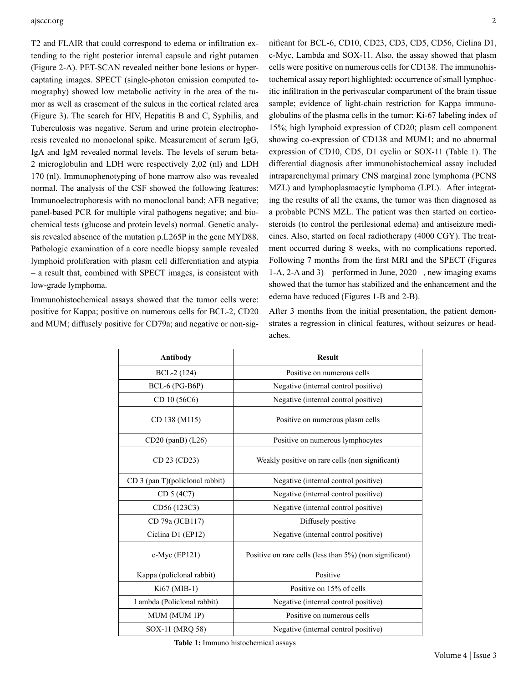#### ajsccr.org 2

T2 and FLAIR that could correspond to edema or infiltration extending to the right posterior internal capsule and right putamen (Figure 2-A). PET-SCAN revealed neither bone lesions or hypercaptating images. SPECT (single-photon emission computed tomography) showed low metabolic activity in the area of the tumor as well as erasement of the sulcus in the cortical related area (Figure 3). The search for HIV, Hepatitis B and C, Syphilis, and Tuberculosis was negative. Serum and urine protein electrophoresis revealed no monoclonal spike. Measurement of serum IgG, IgA and IgM revealed normal levels. The levels of serum beta-2 microglobulin and LDH were respectively 2,02 (nl) and LDH 170 (nl). Immunophenotyping of bone marrow also was revealed normal. The analysis of the CSF showed the following features: Immunoelectrophoresis with no monoclonal band; AFB negative; panel-based PCR for multiple viral pathogens negative; and biochemical tests (glucose and protein levels) normal. Genetic analysis revealed absence of the mutation p.L265P in the gene MYD88. Pathologic examination of a core needle biopsy sample revealed lymphoid proliferation with plasm cell differentiation and atypia – a result that, combined with SPECT images, is consistent with low-grade lymphoma.

Immunohistochemical assays showed that the tumor cells were: positive for Kappa; positive on numerous cells for BCL-2, CD20 and MUM; diffusely positive for CD79a; and negative or non-significant for BCL-6, CD10, CD23, CD3, CD5, CD56, Ciclina D1, c-Myc, Lambda and SOX-11. Also, the assay showed that plasm cells were positive on numerous cells for CD138. The immunohistochemical assay report highlighted: occurrence of small lymphocitic infiltration in the perivascular compartment of the brain tissue sample; evidence of light-chain restriction for Kappa immunoglobulins of the plasma cells in the tumor; Ki-67 labeling index of 15%; high lymphoid expression of CD20; plasm cell component showing co-expression of CD138 and MUM1; and no abnormal expression of CD10, CD5, D1 cyclin or SOX-11 (Table 1). The differential diagnosis after immunohistochemical assay included intraparenchymal primary CNS marginal zone lymphoma (PCNS MZL) and lymphoplasmacytic lymphoma (LPL). After integrating the results of all the exams, the tumor was then diagnosed as a probable PCNS MZL. The patient was then started on corticosteroids (to control the perilesional edema) and antiseizure medicines. Also, started on focal radiotherapy (4000 CGY). The treatment occurred during 8 weeks, with no complications reported. Following 7 months from the first MRI and the SPECT (Figures 1-A, 2-A and 3) – performed in June, 2020 –, new imaging exams showed that the tumor has stabilized and the enhancement and the edema have reduced (Figures 1-B and 2-B).

After 3 months from the initial presentation, the patient demonstrates a regression in clinical features, without seizures or headaches.

| Antibody                        | <b>Result</b>                                           |  |
|---------------------------------|---------------------------------------------------------|--|
| BCL-2 (124)                     | Positive on numerous cells                              |  |
| BCL-6 (PG-B6P)                  | Negative (internal control positive)                    |  |
| CD 10 (56C6)                    | Negative (internal control positive)                    |  |
| CD 138 (M115)                   | Positive on numerous plasm cells                        |  |
| $CD20$ (panB) $(L26)$           | Positive on numerous lymphocytes                        |  |
| CD 23 (CD23)                    | Weakly positive on rare cells (non significant)         |  |
| CD 3 (pan T)(policlonal rabbit) | Negative (internal control positive)                    |  |
| CD 5 (4C7)                      | Negative (internal control positive)                    |  |
| CD56 (123C3)                    | Negative (internal control positive)                    |  |
| CD 79a (JCB117)                 | Diffusely positive                                      |  |
| Ciclina D1 (EP12)               | Negative (internal control positive)                    |  |
| c-Myc (EP121)                   | Positive on rare cells (less than 5%) (non significant) |  |
| Kappa (policlonal rabbit)       | Positive                                                |  |
| Ki67 (MIB-1)                    | Positive on 15% of cells                                |  |
| Lambda (Policlonal rabbit)      | Negative (internal control positive)                    |  |
| MUM (MUM 1P)                    | Positive on numerous cells                              |  |
| SOX-11 (MRQ 58)                 | Negative (internal control positive)                    |  |

 **Table 1:** Immuno histochemical assays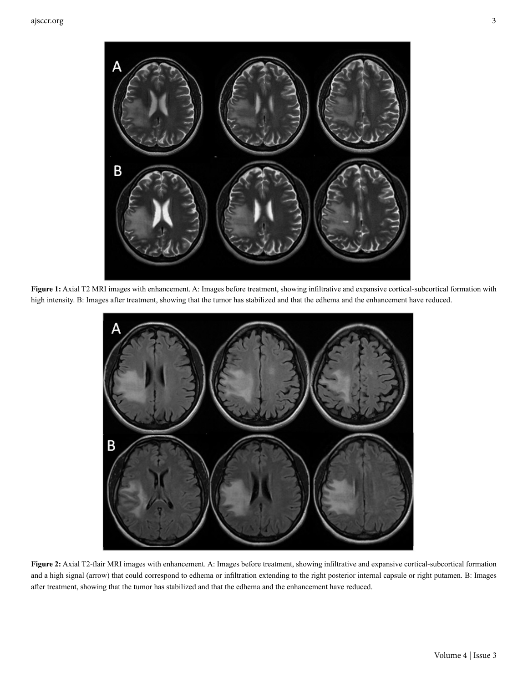

**Figure 1:** Axial T2 MRI images with enhancement. A: Images before treatment, showing infiltrative and expansive cortical-subcortical formation with high intensity. B: Images after treatment, showing that the tumor has stabilized and that the edhema and the enhancement have reduced.



**Figure 2:** Axial T2-flair MRI images with enhancement. A: Images before treatment, showing infiltrative and expansive cortical-subcortical formation and a high signal (arrow) that could correspond to edhema or infiltration extending to the right posterior internal capsule or right putamen. B: Images after treatment, showing that the tumor has stabilized and that the edhema and the enhancement have reduced.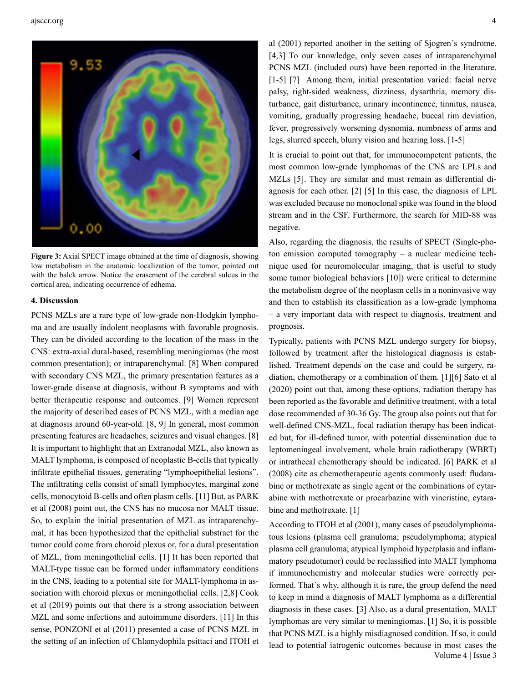

**Figure 3:** Axial SPECT image obtained at the time of diagnosis, showing low metabolism in the anatomic localization of the tumor, pointed out with the balck arrow. Notice the erasement of the cerebral sulcus in the cortical area, indicating occurrence of edhema.

#### **4. Discussion**

PCNS MZLs are a rare type of low-grade non-Hodgkin lymphoma and are usually indolent neoplasms with favorable prognosis. They can be divided according to the location of the mass in the CNS: extra-axial dural-based, resembling meningiomas (the most common presentation); or intraparenchymal. [8] When compared with secondary CNS MZL, the primary presentation features as a lower-grade disease at diagnosis, without B symptoms and with better therapeutic response and outcomes. [9] Women represent the majority of described cases of PCNS MZL, with a median age at diagnosis around 60-year-old. [8, 9] In general, most common presenting features are headaches, seizures and visual changes. [8] It is important to highlight that an Extranodal MZL, also known as MALT lymphoma, is composed of neoplastic B-cells that typically infiltrate epithelial tissues, generating "lymphoepithelial lesions". The infiltrating cells consist of small lymphocytes, marginal zone cells, monocytoid B-cells and often plasm cells. [11] But, as PARK et al (2008) point out, the CNS has no mucosa nor MALT tissue. So, to explain the initial presentation of MZL as intraparenchymal, it has been hypothesized that the epithelial substract for the tumor could come from choroid plexus or, for a dural presentation of MZL, from meningothelial cells. [1] It has been reported that MALT-type tissue can be formed under inflammatory conditions in the CNS, leading to a potential site for MALT-lymphoma in association with choroid plexus or meningothelial cells. [2,8] Cook et al (2019) points out that there is a strong association between MZL and some infections and autoimmune disorders. [11] In this sense, PONZONI et al (2011) presented a case of PCNS MZL in the setting of an infection of Chlamydophila psittaci and ITOH et

al (2001) reported another in the setting of Sjogren´s syndrome. [4,3] To our knowledge, only seven cases of intraparenchymal PCNS MZL (included ours) have been reported in the literature. [1-5] [7] Among them, initial presentation varied: facial nerve palsy, right-sided weakness, dizziness, dysarthria, memory disturbance, gait disturbance, urinary incontinence, tinnitus, nausea, vomiting, gradually progressing headache, buccal rim deviation, fever, progressively worsening dysnomia, numbness of arms and legs, slurred speech, blurry vision and hearing loss. [1-5]

It is crucial to point out that, for immunocompetent patients, the most common low-grade lymphomas of the CNS are LPLs and MZLs [5]. They are similar and must remain as differential diagnosis for each other. [2] [5] In this case, the diagnosis of LPL was excluded because no monoclonal spike was found in the blood stream and in the CSF. Furthermore, the search for MID-88 was negative.

Also, regarding the diagnosis, the results of SPECT (Single-photon emission computed tomography – a nuclear medicine technique used for neuromolecular imaging, that is useful to study some tumor biological behaviors [10]) were critical to determine the metabolism degree of the neoplasm cells in a noninvasive way and then to establish its classification as a low-grade lymphoma – a very important data with respect to diagnosis, treatment and prognosis.

Typically, patients with PCNS MZL undergo surgery for biopsy, followed by treatment after the histological diagnosis is established. Treatment depends on the case and could be surgery, radiation, chemotherapy or a combination of them. [1][6] Sato et al (2020) point out that, among these options, radiation therapy has been reported as the favorable and definitive treatment, with a total dose recommended of 30-36 Gy. The group also points out that for well-defined CNS-MZL, focal radiation therapy has been indicated but, for ill-defined tumor, with potential dissemination due to leptomeningeal involvement, whole brain radiotherapy (WBRT) or intrathecal chemotherapy should be indicated. [6] PARK et al (2008) cite as chemotherapeutic agents commonly used: fludarabine or methotrexate as single agent or the combinations of cytarabine with methotrexate or procarbazine with vincristine, cytarabine and methotrexate. [1]

 Volume 4 | Issue 3 According to ITOH et al (2001), many cases of pseudolymphomatous lesions (plasma cell granuloma; pseudolymphoma; atypical plasma cell granuloma; atypical lymphoid hyperplasia and inflammatory pseudotumor) could be reclassified into MALT lymphoma if immunochemistry and molecular studies were correctly performed. That´s why, although it is rare, the group defend the need to keep in mind a diagnosis of MALT lymphoma as a differential diagnosis in these cases. [3] Also, as a dural presentation, MALT lymphomas are very similar to meningiomas. [1] So, it is possible that PCNS MZL is a highly misdiagnosed condition. If so, it could lead to potential iatrogenic outcomes because in most cases the